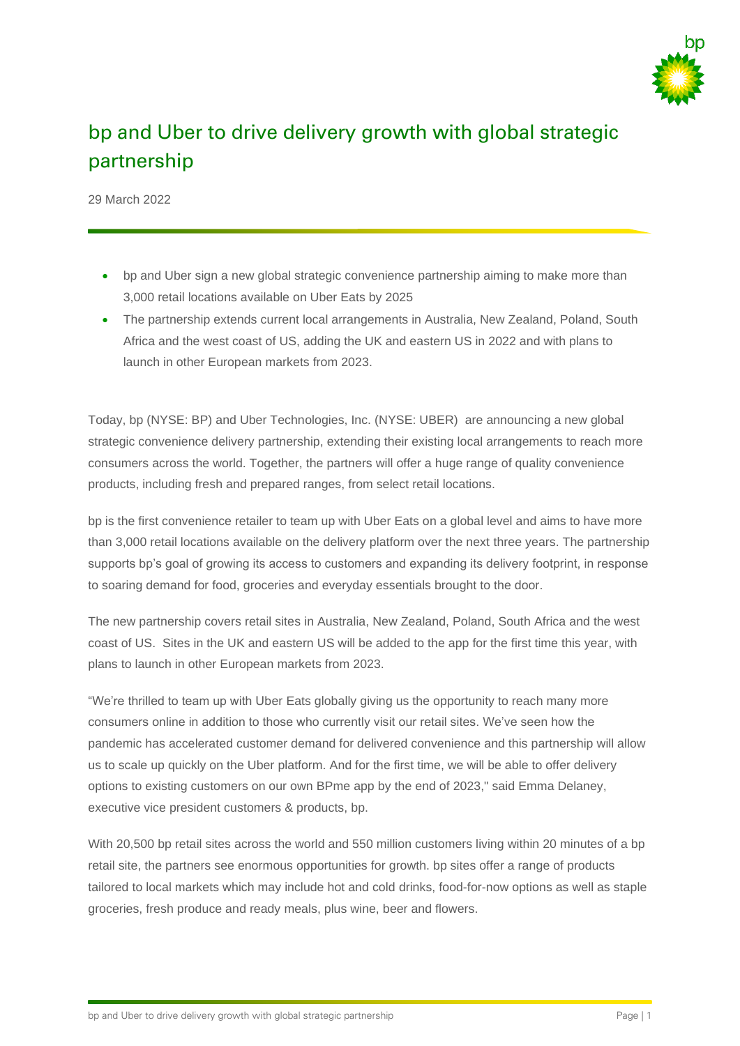

# bp and Uber to drive delivery growth with global strategic partnership

29 March 2022

- bp and Uber sign a new global strategic convenience partnership aiming to make more than 3,000 retail locations available on Uber Eats by 2025
- The partnership extends current local arrangements in Australia, New Zealand, Poland, South Africa and the west coast of US, adding the UK and eastern US in 2022 and with plans to launch in other European markets from 2023.

Today, bp (NYSE: BP) and Uber Technologies, Inc. (NYSE: UBER) are announcing a new global strategic convenience delivery partnership, extending their existing local arrangements to reach more consumers across the world. Together, the partners will offer a huge range of quality convenience products, including fresh and prepared ranges, from select retail locations.

bp is the first convenience retailer to team up with Uber Eats on a global level and aims to have more than 3,000 retail locations available on the delivery platform over the next three years. The partnership supports bp's goal of growing its access to customers and expanding its delivery footprint, in response to soaring demand for food, groceries and everyday essentials brought to the door.

The new partnership covers retail sites in Australia, New Zealand, Poland, South Africa and the west coast of US. Sites in the UK and eastern US will be added to the app for the first time this year, with plans to launch in other European markets from 2023.

"We're thrilled to team up with Uber Eats globally giving us the opportunity to reach many more consumers online in addition to those who currently visit our retail sites. We've seen how the pandemic has accelerated customer demand for delivered convenience and this partnership will allow us to scale up quickly on the Uber platform. And for the first time, we will be able to offer delivery options to existing customers on our own BPme app by the end of 2023," said Emma Delaney, executive vice president customers & products, bp.

With 20,500 bp retail sites across the world and 550 million customers living within 20 minutes of a bp retail site, the partners see enormous opportunities for growth. bp sites offer a range of products tailored to local markets which may include hot and cold drinks, food-for-now options as well as staple groceries, fresh produce and ready meals, plus wine, beer and flowers.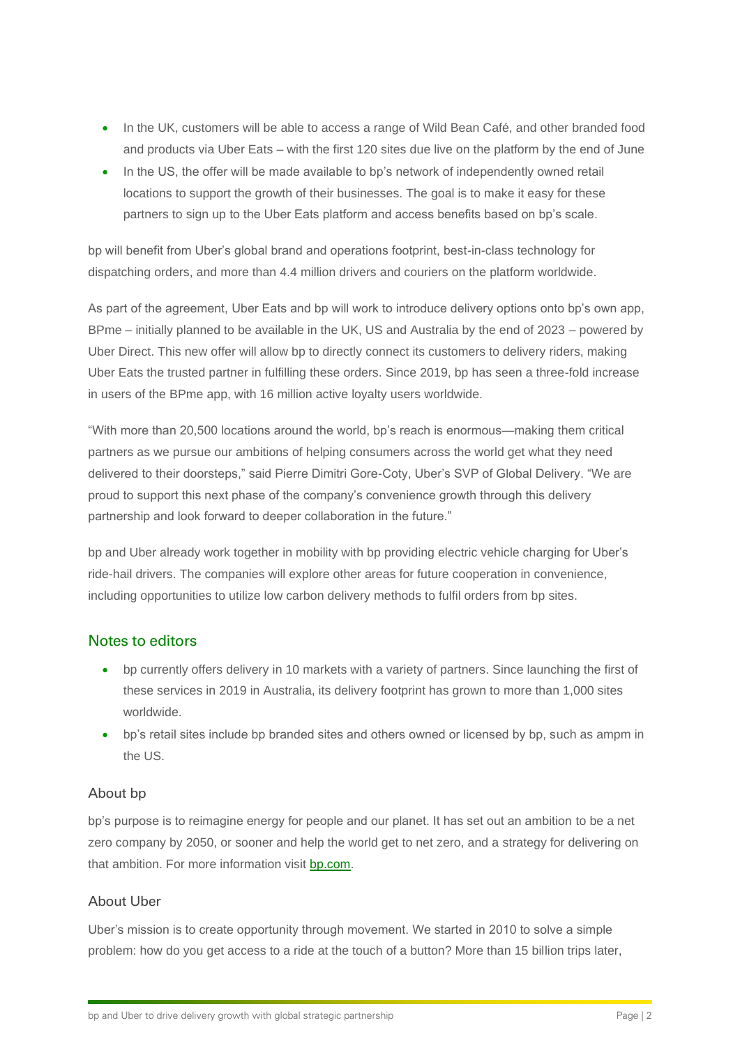- In the UK, customers will be able to access a range of Wild Bean Café, and other branded food and products via Uber Eats – with the first 120 sites due live on the platform by the end of June
- In the US, the offer will be made available to bp's network of independently owned retail locations to support the growth of their businesses. The goal is to make it easy for these partners to sign up to the Uber Eats platform and access benefits based on bp's scale.

bp will benefit from Uber's global brand and operations footprint, best-in-class technology for dispatching orders, and more than 4.4 million drivers and couriers on the platform worldwide.

As part of the agreement, Uber Eats and bp will work to introduce delivery options onto bp's own app, BPme – initially planned to be available in the UK, US and Australia by the end of 2023 – powered by Uber Direct. This new offer will allow bp to directly connect its customers to delivery riders, making Uber Eats the trusted partner in fulfilling these orders. Since 2019, bp has seen a three-fold increase in users of the BPme app, with 16 million active loyalty users worldwide.

"With more than 20,500 locations around the world, bp's reach is enormous—making them critical partners as we pursue our ambitions of helping consumers across the world get what they need delivered to their doorsteps," said Pierre Dimitri Gore-Coty, Uber's SVP of Global Delivery. "We are proud to support this next phase of the company's convenience growth through this delivery partnership and look forward to deeper collaboration in the future."

bp and Uber already work together in mobility with bp providing electric vehicle charging for Uber's ride-hail drivers. The companies will explore other areas for future cooperation in convenience, including opportunities to utilize low carbon delivery methods to fulfil orders from bp sites.

## Notes to editors

- bp currently offers delivery in 10 markets with a variety of partners. Since launching the first of these services in 2019 in Australia, its delivery footprint has grown to more than 1,000 sites worldwide.
- bp's retail sites include bp branded sites and others owned or licensed by bp, such as ampm in the US.

## About bp

bp's purpose is to reimagine energy for people and our planet. It has set out an ambition to be a net zero company by 2050, or sooner and help the world get to net zero, and a strategy for delivering on that ambition. For more information visit [bp.com.](https://www.bp.com/)

## About Uber

Uber's mission is to create opportunity through movement. We started in 2010 to solve a simple problem: how do you get access to a ride at the touch of a button? More than 15 billion trips later,